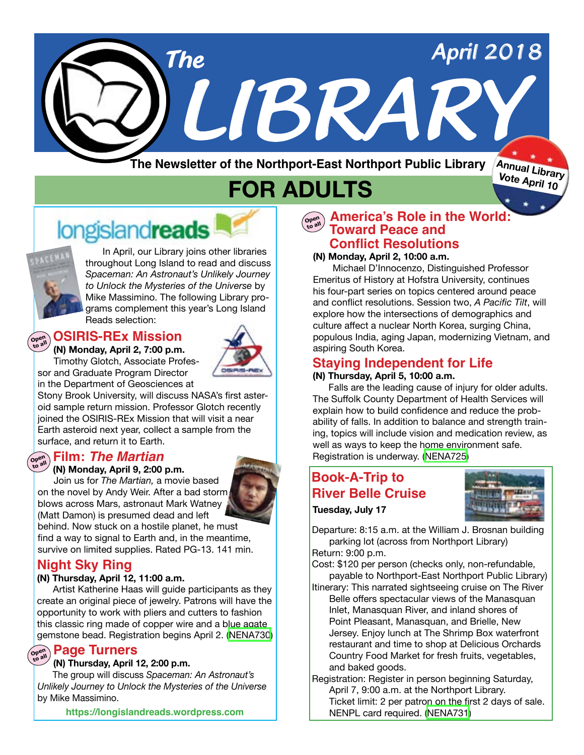

**The Newsletter of the Northport-East Northport Public Library**

**Annual Library Vote April 10**

# **FOR ADULTS**

# longislandreads



In April, our Library joins other libraries throughout Long Island to read and discuss *Spaceman: An Astronaut's Unlikely Journey to Unlock the Mysteries of the Universe* by Mike Massimino. The following Library programs complement this year's Long Island Reads selection:

#### **OSIRIS-REx Mission Open to all**



sor and Graduate Program Director

in the Department of Geosciences at Stony Brook University, will discuss NASA's first asteroid sample return mission. Professor Glotch recently joined the OSIRIS-REx Mission that will visit a near Earth asteroid next year, collect a sample from the surface, and return it to Earth.

## **Film:** *The Martian* **Open to all**



Join us for *The Martian,* a movie based on the novel by Andy Weir. After a bad storm blows across Mars, astronaut Mark Watney (Matt Damon) is presumed dead and left behind. Now stuck on a hostile planet, he must find a way to signal to Earth and, in the meantime, survive on limited supplies. Rated PG-13. 141 min.

## **Night Sky Ring**

### **(N) Thursday, April 12, 11:00 a.m.**

 Artist Katherine Haas will guide participants as they create an original piece of jewelry. Patrons will have the opportunity to work with pliers and cutters to fashion this classic ring made of copper wire and a blue agate gemstone bead. Registration begins April 2. [\(NENA730\)](https://search.livebrary.com/record%3Dg1080651~S43)

## **Page Turners Open to all**

#### **(N) Thursday, April 12, 2:00 p.m.**

 The group will discuss *Spaceman: An Astronaut's Unlikely Journey to Unlock the Mysteries of the Universe*  by Mike Massimino.

**https://longislandreads.wordpress.com**

## $\begin{bmatrix} \mathbf{C}_{\mathbf{Q} \in \mathbb{R}^n} \\ \mathbf{D} \end{bmatrix}$  **America's Role in the World: Toward Peace and Conflict Resolutions**

#### **(N) Monday, April 2, 10:00 a.m.**

Michael D'Innocenzo, Distinguished Professor Emeritus of History at Hofstra University, continues his four-part series on topics centered around peace and conflict resolutions. Session two, *A Pacific Tilt*, will explore how the intersections of demographics and culture affect a nuclear North Korea, surging China, populous India, aging Japan, modernizing Vietnam, and aspiring South Korea.

## **Staying Independent for Life**

#### **(N) Thursday, April 5, 10:00 a.m.**

 Falls are the leading cause of injury for older adults. The Suffolk County Department of Health Services will explain how to build confidence and reduce the probability of falls. In addition to balance and strength training, topics will include vision and medication review, as well as ways to keep the home environment safe. Registration is underway. ([NENA725](https://search.livebrary.com/record%3Dg1080034~S43))

## **Book-A-Trip to River Belle Cruise**



**Tuesday, July 17**

Departure: 8:15 a.m. at the William J. Brosnan building parking lot (across from Northport Library) Return: 9:00 p.m.

Cost: \$120 per person (checks only, non-refundable, payable to Northport-East Northport Public Library)

Itinerary: This narrated sightseeing cruise on The River Belle offers spectacular views of the Manasquan Inlet, Manasquan River, and inland shores of Point Pleasant, Manasquan, and Brielle, New Jersey. Enjoy lunch at The Shrimp Box waterfront restaurant and time to shop at Delicious Orchards Country Food Market for fresh fruits, vegetables, and baked goods.

Registration: Register in person beginning Saturday, April 7, 9:00 a.m. at the Northport Library. Ticket limit: 2 per patron on the first 2 days of sale. NENPL card required. ([NENA731\)](https://search.livebrary.com/record%3Dg1080695~S43)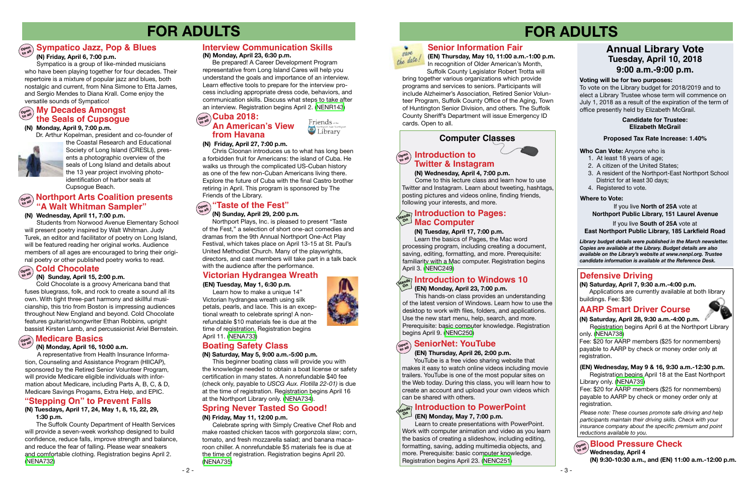## **Computer Classes**

## **FOR ADULTS FOR ADULTS**

- 2 -



## **Defensive Driving**

*Please note: These courses promote safe driving and help participants maintain their driving skills. Check with your insurance company about the specific premium and point reductions available to you.*

## **AARP Smart Driver Course**



**(N) Saturday, April 28, 9:30 a.m.-4:00 p.m.**

Registration begins April 6 at the Northport Library only. ([NENA738](https://search.livebrary.com/record%3Dg1080798~S43))

Fee: \$20 for AARP members (\$25 for nonmembers) payable to AARP by check or money order only at registration.

#### **(N) Monday, April 9, 7:00 p.m.**

Dr. Arthur Kopelman, president and co-founder of



the Coastal Research and Educational Society of Long Island (CRESLI), presents a photographic overview of the seals of Long Island and details about the 13 year project involving photoidentification of harbor seals at Cupsogue Beach.

> YouTube is a free video sharing website that makes it easy to watch online videos including movie trailers. YouTube is one of the most popular sites on the Web today. During this class, you will learn how to create an account and upload your own videos which<br>can be shared with others. can be shared with others.

#### **(N) Wednesday, April 4, 7:00 p.m.**

#### **Cold Chocolate**   $\begin{pmatrix} \text{open} \\ \text{to all} \end{pmatrix}$

 Come to this lecture class and learn how to use Twitter and Instagram. Learn about tweeting, hashtags, posting pictures and videos online, finding friends, following your interests, and more.

#### **Open to all SeniorNet: YouTube**

#### **(EN) Thursday, April 26, 2:00 p.m.**

#### **(N) Wednesday, April 11, 7:00 p.m.**

 Students from Norwood Avenue Elementary School will present poetry inspired by Walt Whitman. Judy Turek, an editor and facilitator of poetry on Long Island, will be featured reading her original works. Audience members of all ages are encouraged to bring their original poetry or other published poetry works to read.

#### **(N) Sunday, April 15, 2:00 p.m.**

Cold Chocolate is a groovy Americana band that fuses bluegrass, folk, and rock to create a sound all its own. With tight three-part harmony and skillful musicianship, this trio from Boston is impressing audiences throughout New England and beyond. Cold Chocolate features guitarist/songwriter Ethan Robbins, upright bassist Kirsten Lamb, and percussionist Ariel Bernstein.  **(EN) Thursday, May 10, 11:00 a.m.-1:00 p.m.** In recognition of Older American's Month, Suffolk County Legislator Robert Trotta will

bring together various organizations which provide programs and services to seniors. Participants will include Alzheimer's Association, Retired Senior Volunteer Program, Suffolk County Office of the Aging, Town of Huntington Senior Division, and others. The Suffolk County Sheriff's Department will issue Emergency ID cards. Open to all.

## **Open Northport Arts Coalition presents "A Walt Whitman Sampler"**

## **Senior Information Fair**

#### **(N) Saturday, April 7, 9:30 a.m.-4:00 p.m.**

Applications are currently available at both library buildings. Fee: \$36

#### **(N) Monday, April 23, 6:30 p.m.**

 Be prepared! A Career Development Program representative from Long Island Cares will help you understand the goals and importance of an interview. Learn effective tools to prepare for the interview process including appropriate dress code, behaviors, and communication skills. Discuss what steps to take after an interview. Registration begins April 2. ([NENR143](https://search.livebrary.com/record%3Dg1081110~S43))

> Friends of the Library

## **Open to all My Decades Amongst the Seals of Cupsogue**

## **Interview Communication Skills**

#### **(N) Tuesday, April 17, 7:00 p.m.**

Learn the basics of Pages, the Mac word processing program, including creating a document, saving, editing, formatting, and more. Prerequisite: familiarity with a Mac computer. Registration begins April 3. [\(NENC249\)](https://search.livebrary.com/record%3Dg1081126~S43)

#### **(EN) Monday, May 7, 7:00 p.m.**

 Learn to create presentations with PowerPoint. Work with computer animation and video as you learn the basics of creating a slideshow, including editing, formatting, saving, adding multimedia objects, and more. Prerequisite: basic computer knowledge. Registration begins April 23. [\(NENC251\)](https://search.livebrary.com/record%3Dg1003402~S43)

**Who Can Vote:** Anyone who is

- 1. At least 18 years of age;
- 2. A citizen of the United States;
- 3. A resident of the Northport-East Northport School District for at least 30 days;
- 4. Registered to vote.

## **Annual Library Vote Tuesday, April 10, 2018 9:00 a.m.-9:00 p.m.**

#### **Voting will be for two purposes:**

#### **Introduction to Open to all Twitter & Instagram**

To vote on the Library budget for 2018/2019 and to elect a Library Trustee whose term will commence on July 1, 2018 as a result of the expiration of the term of office presently held by Elizabeth McGrail.

#### If you live **North of 25A** vote at **Northport Public Library, 151 Laurel Avenue**

#### If you live **South of 25A** vote at

## **East Northport Public Library, 185 Larkfield Road**

#### **Where to Vote:**

#### **Proposed Tax Rate Increase: 1.40%**

#### **Candidate for Trustee: Elizabeth McGrail**

*Library budget details were published in the March newsletter. Copies are available at the Library. Budget details are also available on the Library's website at www.nenpl.org. Trustee candidate information is available at the Reference Desk.*

#### **(N) Friday, April 6, 7:00 p.m.**

## **Sympatico Jazz, Pop & Blues Open to all**

 Sympatico is a group of like-minded musicians who have been playing together for four decades. Their repertoire is a mixture of popular jazz and blues, both nostalgic and current, from Nina Simone to Etta James, and Sergio Mendes to Diana Krall. Come enjoy the versatile sounds of Sympatico!

#### **(N) Friday, April 27, 7:00 p.m.**

#### **Introduction to Pages: Hands On Mac Computer**

Chris Cloonan introduces us to what has long been a forbidden fruit for Americans: the island of Cuba. He walks us through the complicated US-Cuban history as one of the few non-Cuban Americans living there. Explore the future of Cuba with the final Castro brother retiring in April. This program is sponsored by The Friends of the Library.

## **Introduction to PowerPoint Hands On**

#### **(N) Sunday, April 29, 2:00 p.m.**

#### **Open to all "Taste of the Fest"**

Northport Plays, Inc. is pleased to present "Taste of the Fest," a selection of short one-act comedies and dramas from the 9th Annual Northport One-Act Play Festival, which takes place on April 13-15 at St. Paul's United Methodist Church. Many of the playwrights, directors, and cast members will take part in a talk back with the audience after the performance.

## **Victorian Hydrangea Wreath**

#### **(EN) Tuesday, May 1, 6:30 p.m.**

Learn how to make a unique 14" Victorian hydrangea wreath using silk petals, pearls, and lace. This is an exceptional wreath to celebrate spring! A nonrefundable \$10 materials fee is due at the time of registration. Registration begins April 11. ([NENA733\)](https://search.livebrary.com/record%3Dg1080788~S43)

#### **(N) Monday, April 16, 10:00 a.m.**

## **Medicare Basics Open to all**

 A representative from Health Insurance Information, Counseling and Assistance Program (HIICAP), sponsored by the Retired Senior Volunteer Program, will provide Medicare eligible individuals with information about Medicare, including Parts A, B, C, & D, Medicare Savings Progams, Extra Help, and EPIC.

#### **(N) Saturday, May 5, 9:00 a.m.-5:00 p.m.**

## **Open to all Cuba 2018: An American's View from Havana**

 This beginner boating class will provide you with the knowledge needed to obtain a boat license or safety certification in many states. A nonrefundable \$40 fee (check only, payable to *USCG Aux. Flotilla 22-01)* is due at the time of registration. Registration begins April 16 at the Northport Library only. [\(NENA734](https://search.livebrary.com/record%3Dg1080933~S43)).

## **Boating Safety Class**

#### **(EN) Monday, April 23, 7:00 p.m.**

#### **Introduction to Windows 10 Hands On**

This hands-on class provides an understanding of the latest version of Windows. Learn how to use the desktop to work with files, folders, and applications. Use the new start menu, help, search, and more. Prerequisite: basic computer knowledge. Registration begins April 9. ([NENC250](https://search.livebrary.com/record%3Dg1061941~S43))

#### **(N) Tuesdays, April 17, 24, May 1, 8, 15, 22, 29, 1:30 p.m.**

The Suffolk County Department of Health Services will provide a seven-week workshop designed to build confidence, reduce falls, improve strength and balance, and reduce the fear of falling. Please wear sneakers and comfortable clothing. Registration begins April 2. ([NENA732\)](https://search.livebrary.com/record%3Dg1080774~S43)

## **"Stepping On" to Prevent Falls**

#### **(N) Friday, May 11, 12:00 p.m.**

 Celebrate spring with Simply Creative Chef Rob and make roasted chicken tacos with gorgonzola slaw; corn, tomato, and fresh mozzarella salad; and banana macaroon chiller. A nonrefundable \$5 materials fee is due at the time of registration. Registration begins April 20. ([NENA735](https://search.livebrary.com/record%3Dg1080797~S43))



## **Spring Never Tasted So Good!**

**(EN) Wednesday, May 9 & 16, 9:30 a.m.-12:30 p.m.** Registration begins April 18 at the East Northport Library only. ([NENA739](https://search.livebrary.com/record%3Dg1080799~S43))

Fee: \$20 for AARP members (\$25 for nonmembers) payable to AARP by check or money order only at registration.

#### **Blood Pressure Check Open to all Wednesday, April 4 (N) 9:30-10:30 a.m., and (EN) 11:00 a.m.-12:00 p.m.**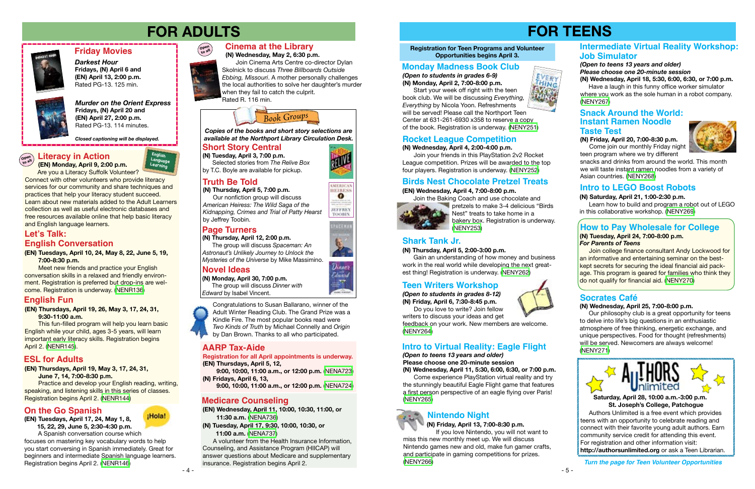*(Open to students in grades 8-12)* **(N) Friday, April 6, 7:30-8:45 p.m.**

 Do you love to write? Join fellow writers to discuss your ideas and get

feedback on your work. New members are welcome. [\(NENY264\)](https://search.livebrary.com/record%3Dg1080636~S43)



*Murder on the Orient Express* **Fridays, (N) April 20 and (EN) April 27, 2:00 p.m.** Rated PG-13. 114 minutes.

## **Friday Movies**

*Darkest Hour* **Fridays, (N) April 6 and (EN) April 13, 2:00 p.m.**  Rated PG-13. 125 min.



*Closed captioning will be displayed.*

## **Cinema at the Library**

 **(N) Wednesday, May 2, 6:30 p.m.**

This fun-filled program will help you learn basic English while your child, ages 3-5 years, will learn important early literacy skills. Registration begins April 2. ([NENR145\)](https://search.livebrary.com/record%3Dg1081036~S43).

 Join Cinema Arts Centre co-director Dylan Skolnick to discuss *Three Billboards Outside Ebbing, Missouri*. A mother personally challenges the local authorities to solve her daughter's murder when they fail to catch the culprit. Rated R. 116 min.



**Practice and develop your English reading, writing,** speaking, and listening skills in this series of classes. Registration begins April 2. ([NENR144\)](https://search.livebrary.com/record%3Dg1081101~S43)

## **FOR ADULTS FOR TEENS**



**(EN) Tuesdays, April 10, 24, May 8, 22, June 5, 19, 7:00-8:30 p.m.** 

Meet new friends and practice your English conversation skills in a relaxed and friendly environment. Registration is preferred but drop-ins are welcome. Registration is underway. ([NENR136](https://search.livebrary.com/record%3Dg1078766~S43))

**(EN) Thursdays, April 19, 26, May 3, 17, 24, 31, 9:30-11:00 a.m.**

## **English Fun**



#### **(EN) Thursdays, April 19, May 3, 17, 24, 31, June 7, 14, 7:00-8:30 p.m.**

## **ESL for Adults**



## **Page Turners**

## **Novel Ideas**

**(N) Thursday, April 12, 2:00 p.m.**

 The group will discuss *Spaceman: An Astronaut's Unlikely Journey to Unlock the Mysteries of the Universe* by Mike Massimino.

 Our nonfiction group will discuss *American Heiress: The Wild Saga of the Kidnapping, Crimes and Trial of Patty Hearst* by Jeffrey Toobin.

*Copies of the books and short story selections are available at the Northport Library Circulation Desk.*

**(N) Monday, April 30, 7:00 p.m.** The group will discuss *Dinner with*

*Edward* by Isabel Vincent.

## **Short Story Central**

**(N) Tuesday, April 3, 7:00 p.m.**

 Selected stories from *The Relive Box* by T.C. Boyle are available for pickup.



## **Teen Writers Workshop**

## **Socrates Café**

### **(N) Wednesday, April 25, 7:00-8:00 p.m.**

 Our philosophy club is a great opportunity for teens to delve into life's big questions in an enthusiastic atmosphere of free thinking, energetic exchange, and unique perspectives. Food for thought (refreshments) will be served. Newcomers are always welcome! ([NENY271](https://search.livebrary.com/record%3Dg1080875~S43))

## **How to Pay Wholesale for College**

#### **(N) Tuesday, April 24, 7:00-8:00 p.m.** *For Parents of Teens*

 Join college finance consultant Andy Lockwood for an informative and entertaining seminar on the bestkept secrets for securing the ideal financial aid package. This program is geared for families who think they do not qualify for financial aid. ([NENY270\)](https://search.livebrary.com/record%3Dg1080876~S43)

Join your friends in this PlayStation 2v2 Rocket League competition. Prizes will be awarded to the top four players. Registration is underway. [\(NENY252\)](https://search.livebrary.com/record%3Dg1079909~S43)

> **pretzels to make 3-4 delicious "Birds** Nest" treats to take home in a bakery box. Registration is underway. ([NENY253](https://search.livebrary.com/record%3Dg1079911~S43))

## **English Conversation Let's Talk:**

**Literacy in Action**

 **(EN) Monday, April 9, 2:00 p.m.** Are you a Literacy Suffolk Volunteer?

Connect with other volunteers who provide literacy services for our community and share techniques and practices that help your literacy student succeed. Learn about new materials added to the Adult Learners collection as well as useful electronic databases and free resources available online that help basic literacy and English language learners.

Come join our monthly Friday night teen program where we try different



## **Truth Be Told**

**(N) Thursday, April 5, 7:00 p.m.**

**(EN) Wednesday, April 11, 10:00, 10:30, 11:00, or 11:30 a.m.** [\(NENA736](https://search.livebrary.com/record%3Dg1080869~S43))

**(N) Tuesday, April 17, 9:30, 10:00, 10:30, or 11:00 a.m.** ([NENA737](https://search.livebrary.com/record%3Dg1080870~S43))

 A volunteer from the Health Insurance Information, Counseling, and Assistance Program (HIICAP) will answer questions about Medicare and supplementary insurance. Registration begins April 2.

## **Medicare Counseling**

## **AARP Tax-Aide**

**Registration for all April appointments is underway. (EN) Thursdays, April 5, 12,**

 **9:00, 10:00, 11:00 a.m., or 12:00 p.m.** ([NENA723\)](https://search.livebrary.com/record%3Dg1080127~S43) **(N) Fridays, April 6, 13,**

 **9:00, 10:00, 11:00 a.m., or 12:00 p.m.** ([NENA724\)](https://search.livebrary.com/record%3Dg1080176~S43)

Congratulations to Susan Ballarano, winner of the Adult Winter Reading Club. The Grand Prize was a Kindle Fire. The most popular books read were *Two Kinds of Truth* by Michael Connelly and *Origin* by Dan Brown. Thanks to all who participated.

### **(EN) Tuesdays, April 17, 24, May 1, 8, 15, 22, 29, June 5, 2:30-4:30 p.m.**

A Spanish conversation course which focuses on mastering key vocabulary words to help you start conversing in Spanish immediately. Great for beginners and intermediate Spanish language learners. Registration begins April 2. [\(NENR146](https://search.livebrary.com/record%3Dg1081099~S43))

## **On the Go Spanish**

## **Monday Madness Book Club**

*(Open to students in grades 6-9)* **(N) Monday, April 2, 7:00-8:00 p.m.**



Start your week off right with the teen book club. We will be discussing *Everything, Everything* by Nicola Yoon. Refreshments will be served! Please call the Northport Teen

Center at 631-261-6930 x358 to reserve a copy of the book. Registration is underway. ([NENY251\)](https://search.livebrary.com/record%3Dg1079907~S43)

## **Rocket League Competition**

#### **(N) Wednesday, April 4, 2:00-4:00 p.m.**

**Birds Nest Chocolate Pretzel Treats**

### **(EN) Wednesday, April 4, 7:00-8:00 p.m.**

Join the Baking Coach and use chocolate and



## **Shark Tank Jr.**

#### **(N) Thursday, April 5, 2:00-3:00 p.m.**

Gain an understanding of how money and business work in the real world while developing the next greatest thing! Registration is underway. ([NENY262\)](https://search.livebrary.com/record%3Dg1079920~S43)

 *(Open to teens 13 years and older)*

**Please choose one 20-minute session (N) Wednesday, April 11, 5:30, 6:00, 6:30, or 7:00 p.m.**

Come experience PlayStation virtual reality and try the stunningly beautiful Eagle Flight game that features a first person perspective of an eagle flying over Paris!

([NENY265\)](https://search.livebrary.com/record%3Dg1080884~S43)

## **Intro to Virtual Reality: Eagle Flight**

**Nintendo Night**

 **(N) Friday, April 13, 7:00-8:30 p.m.**

 If you love Nintendo, you will not want to miss this new monthly meet up. We will discuss Nintendo games new and old, make fun gamer crafts, and participate in gaming competitions for prizes. [\(NENY266\)](https://search.livebrary.com/record%3Dg1080872~S43)



¡Hola!



*STERICAN* **HEIRESS**  $\bullet$ 













*(Open to teens 13 years and older) Please choose one 20-minute session* **(N) Wednesday, April 18, 5:30, 6:00, 6:30, or 7:00 p.m.**

Have a laugh in this funny office worker simulator where you work as the sole human in a robot company. [\(NENY267\)](https://search.livebrary.com/record%3Dg1080901~S43)

## **Intermediate Virtual Reality Workshop: Job Simulator**

## **(N) Friday, April 20, 7:00-8:30 p.m.**

snacks and drinks from around the world. This month we will taste instant ramen noodles from a variety of Asian countries. [\(NENY268](https://search.livebrary.com/record%3Dg1080873~S43))

#### **(N) Saturday, April 21, 1:00-2:30 p.m.**

 Learn how to build and program a robot out of LEGO in this collaborative workshop. [\(NENY269\)](https://search.livebrary.com/record%3Dg1080874~S43)

## **Snack Around the World: Instant Ramen Noodle Taste Test**

## **Intro to LEGO Boost Robots**

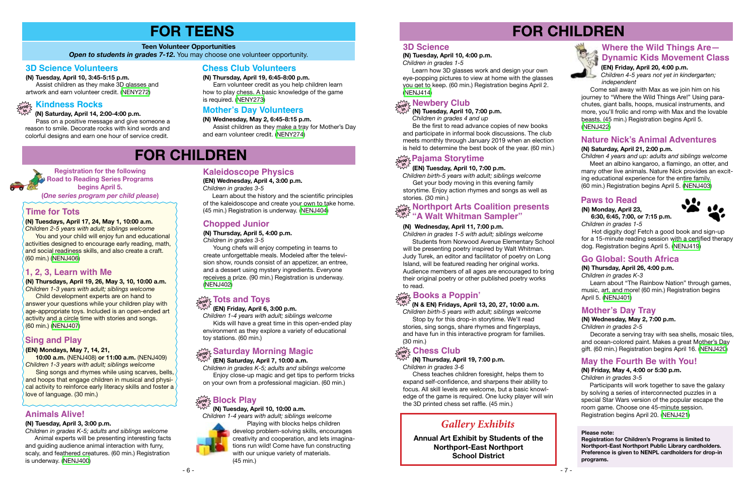- 7 -

## **FOR CHILDREN**



**(N) Thursday, April 26, 4:00 p.m.**

*Children in grades K-3*

 Learn about "The Rainbow Nation" through games, music, art, and more! (60 min.) Registration begins April 5. [\(NENJ401\)](https://search.livebrary.com/record%3Dg1078721~S43)

## **Go Global: South Africa**

### **3D Science**

#### **(N) Saturday, April 21, 2:00 p.m.**

*Children 4 years and up: adults and siblings welcome* Meet an albino kangaroo, a flamingo, an otter, and many other live animals. Nature Nick provides an exciting educational experience for the entire family. (60 min.) Registration begins April 5. [\(NENJ403\)](https://search.livebrary.com/record%3Dg1079947~S43)

## **Nature Nick's Animal Adventures**

**Registration for the following Road to Reading Series Programs begins April 5. (***One series program per child please***)**

**(EN) Mondays, May 7, 14, 21,** 

 **10:00 a.m.** (NENJ408) **or 11:00 a.m.** (NENJ409)

*Children 1-3 years with adult; siblings welcome*

Sing songs and rhymes while using scarves, bells, and hoops that engage children in musical and physical activity to reinforce early literacy skills and foster a

love of language. (30 min.)

**Sing and Play**

Learn how 3D glasses work and design your own eye-popping pictures to view at home with the glasses you get to keep. (60 min.) Registration begins April 2. ([NENJ414](https://search.livebrary.com/record%3Dg1079691~S43))

## **Newbery Club drop**<br> **in**<sub>2</sub> (N) **Tuesday** April 10

## **drop in Pajama Storytime**

**(N) Thursdays, April 19, 26, May 3, 10, 10:00 a.m.** *Children 1-3 years with adult; siblings welcome*  Child development experts are on hand to answer your questions while your children play with age-appropriate toys. Included is an open-ended art activity and a circle time with stories and songs.

(60 min.) [\(NENJ407](https://search.livebrary.com/record%3Dg1080279~S43))

**1, 2, 3, Learn with Me**

### **(N) Tuesday, April 10, 10:00 a.m.**

*Children 1-4 years with adult; siblings welcome*



You and your child will enjoy fun and educational activities designed to encourage early reading, math, and social readiness skills, and also create a craft.

> Playing with blocks helps children develop problem-solving skills, encourages creativity and cooperation, and lets imaginations run wild! Come have fun constructing with our unique variety of materials. (45 min.)

## **drop in Block Play**

**in (N) Thursday, April 19, 7:00 p.m.** *Children in grades 3-6*

*Children birth-5 years with adult; siblings welcome* Stop by for this drop-in storytime. We'll read stories, sing songs, share rhymes and fingerplays, and have fun in this interactive program for families. (30 min.)

## તેજું<sup>5</sup> Chess Club

## **Books a Poppin'**

## arop ⊱ DOONS a PO**ppii I**<br>ય્રેડી (N & EN) Fridays, April 13, 20, 27, 10:00 a.m.

#### **(N) Tuesday, April 10, 4:00 p.m.**

*Children in grades 1-5*

 Chess teaches children foresight, helps them to expand self-confidence, and sharpens their ability to focus. All skill levels are welcome, but a basic knowledge of the game is required. One lucky player will win the 3D printed chess set raffle. (45 min.)

#### **Paws to Read (N) Monday, April 23,**

 **6:30, 6:45, 7:00, or 7:15 p.m.** *Children in grades 1-5*

 Hot diggity dog! Fetch a good book and sign-up for a 15-minute reading session with a certified therapy dog. Registration begins April 5. [\(NENJ419\)](https://search.livebrary.com/record%3Dg1080349~S43)

**Time for Tots**

**(N) Tuesdays, April 17, 24, May 1, 10:00 a.m.** *Children 2-5 years with adult; siblings welcome*

## drop Northport Arts Coalition presents<br>A<sup>log</sup> "A Welt Whitman Carrylar" **"A Walt Whitman Sampler"**

(60 min.) ([NENJ406](https://search.livebrary.com/record%3Dg1080306~S43))

#### **Teen Volunteer Opportunities**

**Open to students in grades 7-12.** You may choose one volunteer opportunity.

# **FOR TEENS**

## **3D Science Volunteers**

#### **(N) Thursday, April 19, 6:45-8:00 p.m.**

 Earn volunteer credit as you help children learn how to play chess. A basic knowledge of the game is required. ([NENY273](https://search.livebrary.com/record%3Dg1080908~S43))

## **Chess Club Volunteers**

 **(N) Saturday, April 14, 2:00-4:00 p.m.** 

 Pass on a positive message and give someone a reason to smile. Decorate rocks with kind words and colorful designs and earn one hour of service credit.

**(N) Tuesday, April 10, 3:45-5:15 p.m.** 

 Assist children as they make 3D glasses and artwork and earn volunteer credit. ([NENY272](https://search.livebrary.com/record%3Dg1080904~S43))

## $\sum_{\substack{\text{drop} \\ \text{sum}}}$  Kindness Rocks

#### **(N) Wednesday, May 2, 6:45-8:15 p.m.**

 Assist children as they make a tray for Mother's Day and earn volunteer credit. [\(NENY274](https://search.livebrary.com/record%3Dg1080909~S43))

## **Mother's Day Volunteers**

## **FOR CHILDREN**

**(N) Tuesday, April 3, 3:00 p.m.**

*Children in grades K-5; adults and siblings welcome* Animal experts will be presenting interesting facts and guiding audience animal interaction with furry, scaly, and feathered creatures. (60 min.) Registration

is underway. [\(NENJ400\)](https://search.livebrary.com/record%3Dg1079944~S43)

**Animals Alive!**

**(EN) Wednesday, April 4, 3:00 p.m.** *Children in grades 3-5*

 Learn about the history and the scientific principles of the kaleidoscope and create your own to take home. (45 min.) Registration is underway. ([NENJ404](https://search.livebrary.com/record%3Dg1079725~S43))

## **Kaleidoscope Physics**

## **(N) Thursday, April 5, 4:00 p.m.**

*Children in grades 3-5*

 Young chefs will enjoy competing in teams to create unforgettable meals. Modeled after the television show, rounds consist of an appetizer, an entree, and a dessert using mystery ingredients. Everyone receives a prize. (90 min.) Registration is underway. [\(NENJ402](https://search.livebrary.com/record%3Dg1078962~S43))

## $\frac{1000}{\text{deg}}$  Tots and Toys<br><sup>ಒಬ್ಬರ</sup> (EN) Friday, April 6, 3:00 p.m.

## **Chopped Junior**

*Children 1-4 years with adult; siblings welcome* Kids will have a great time in this open-ended play environment as they explore a variety of educational toy stations. (60 min.)

## **drop Saturday Morning Magic in**

## **(EN) Saturday, April 7, 10:00 a.m.**

*Children in grades K-5; adults and siblings welcome* Enjoy close-up magic and get tips to perform tricks on your own from a professional magician. (60 min.)

## **(EN) Tuesday, April 10, 7:00 p.m.**

*Children birth-5 years with adult; siblings welcome* Get your body moving in this evening family storytime. Enjoy action rhymes and songs as well as stories. (30 min.)

#### **(N) Wednesday, April 11, 7:00 p.m.**

*Children in grades 1-5 with adult; siblings welcome*  Students from Norwood Avenue Elementary School will be presenting poetry inspired by Walt Whitman. Judy Turek, an editor and facilitator of poetry on Long Island, will be featured reading her original works. Audience members of all ages are encouraged to bring their original poetry or other published poetry works to read.

#### **(N) Wednesday, May 2, 7:00 p.m.**

*Children in grades 2-5*

 Decorate a serving tray with sea shells, mosaic tiles, and ocean-colored paint. Makes a great Mother's Day gift. (60 min.) Registration begins April 16. ([NENJ420](https://search.livebrary.com/record%3Dg1080361~S43))

## **Mother's Day Tray**

**(N) Friday, May 4, 4:00 or 5:30 p.m.** *Children in grades 3-5*

 Participants will work together to save the galaxy by solving a series of interconnected puzzles in a special Star Wars version of the popular escape the room game. Choose one 45-minute session. Registration begins April 20. ([NENJ421](https://search.livebrary.com/record%3Dg1080364~S43))

## **May the Fourth Be with You!**

**Annual Art Exhibit by Students of the Northport-East Northport School District**

## *Gallery Exhibits*

#### **Please note:**

**Registration for Children's Programs is limited to Northport-East Northport Public Library cardholders. Preference is given to NENPL cardholders for drop-in programs.**

**(EN) Friday, April 20, 4:00 p.m.** *Children 4-5 years not yet in kindergarten; independent*

 Come sail away with Max as we join him on his journey to "Where the Wild Things Are!" Using parachutes, giant balls, hoops, musical instruments, and more, you'll frolic and romp with Max and the lovable beasts. (45 min.) Registration begins April 5. [\(NENJ422\)](https://search.livebrary.com/record%3Dg1080293~S43)

## **Where the Wild Things Are— Dynamic Kids Movement Class**

 **(N) Tuesday, April 10, 7:00 p.m.**

 *Children in grades 4 and up*

 Be the first to read advance copies of new books and participate in informal book discussions. The club meets monthly through January 2019 when an election is held to determine the best book of the year. (60 min.)